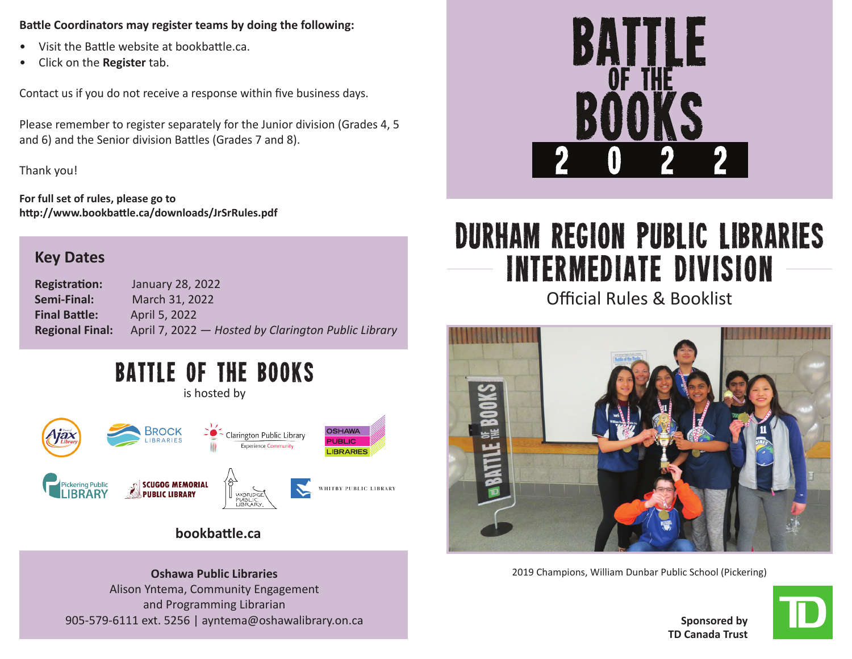## **Battle Coordinators may register teams by doing the following:**

- Visit the Battle website at bookbattle.ca.
- Click on the **Register** tab.

Contact us if you do not receive a response within five business days.

Please remember to register separately for the Junior division (Grades 4, 5 and 6) and the Senior division Battles (Grades 7 and 8).

Thank you!

**For full set of rules, please go to http://www.bookbattle.ca/downloads/JrSrRules.pdf** 

## **Key Dates**

**Registration:** January 28, 2022 **Semi-Final:** March 31, 2022 **Final Battle:** April 5, 2022 **Regional Final:** April 7, 2022 — *Hosted by Clarington Public Library*

# BATTLE OF THE BOOKS

is hosted by



## **bookbattle.ca**

**Oshawa Public Libraries** Alison Yntema, Community Engagement and Programming Librarian 905-579-6111 ext. 5256 | ayntema@oshawalibrary.on.ca



# Durham Region Public Libraries Intermediate Division

Official Rules & Booklist



2019 Champions, William Dunbar Public School (Pickering)